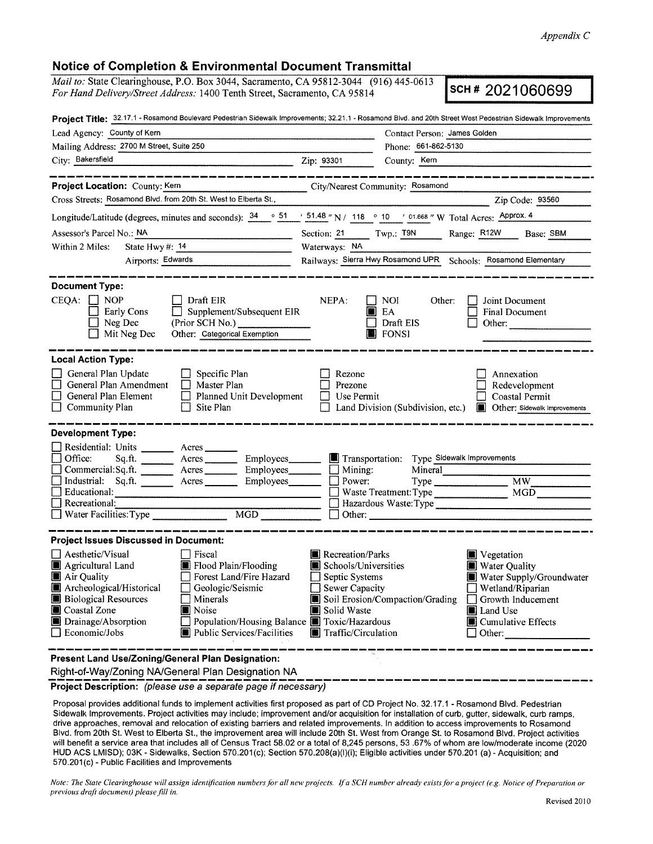## **Notice of Completion & Environmental Document Transmittal**

*Mail to:* State Clearinghouse, P.O. Box 3044, Sacramento, CA 95812-3044 (916) 445-0613 *For Hand Delivery/Street Address:* 1400 Tenth Street, Sacramento, CA 95814 **SCH # 2021060699** 

|                                                                                                                                                                                                                                                                                                                                                                                                | Project Title: 32.17.1 - Rosamond Boulevard Pedestrian Sidewalk Improvements; 32.21.1 - Rosamond Blvd. and 20th Street West Pedestrian Sidewalk Improvements                                                                                                                                                                                                                           |  |  |
|------------------------------------------------------------------------------------------------------------------------------------------------------------------------------------------------------------------------------------------------------------------------------------------------------------------------------------------------------------------------------------------------|----------------------------------------------------------------------------------------------------------------------------------------------------------------------------------------------------------------------------------------------------------------------------------------------------------------------------------------------------------------------------------------|--|--|
| Lead Agency: County of Kern                                                                                                                                                                                                                                                                                                                                                                    | Contact Person: James Golden                                                                                                                                                                                                                                                                                                                                                           |  |  |
| Mailing Address: 2700 M Street, Suite 250                                                                                                                                                                                                                                                                                                                                                      | Phone: 661-862-5130                                                                                                                                                                                                                                                                                                                                                                    |  |  |
| City: Bakersfield                                                                                                                                                                                                                                                                                                                                                                              | Zip: 93301<br>County: Kern                                                                                                                                                                                                                                                                                                                                                             |  |  |
|                                                                                                                                                                                                                                                                                                                                                                                                |                                                                                                                                                                                                                                                                                                                                                                                        |  |  |
| Project Location: County: Kern<br>Cross Streets: Rosamond Blvd. from 20th St. West to Elberta St.,                                                                                                                                                                                                                                                                                             | City/Nearest Community: Rosamond                                                                                                                                                                                                                                                                                                                                                       |  |  |
|                                                                                                                                                                                                                                                                                                                                                                                                | Zip Code: 93560                                                                                                                                                                                                                                                                                                                                                                        |  |  |
|                                                                                                                                                                                                                                                                                                                                                                                                | Longitude/Latitude (degrees, minutes and seconds): $\frac{34}{9}$ 651 / 51.48 " N / 118 ° 10 / 01.668 " W Total Acres: Approx. 4                                                                                                                                                                                                                                                       |  |  |
| Assessor's Parcel No.: NA                                                                                                                                                                                                                                                                                                                                                                      | Section: 21 Twp.: T9N<br>Range: R <sub>12</sub> W<br>Base: SBM                                                                                                                                                                                                                                                                                                                         |  |  |
| State Hwy#: 14<br>Within 2 Miles:                                                                                                                                                                                                                                                                                                                                                              | Waterways: NA                                                                                                                                                                                                                                                                                                                                                                          |  |  |
| Airports: Edwards                                                                                                                                                                                                                                                                                                                                                                              | Railways: Sierra Hwy Rosamond UPR Schools: Rosamond Elementary                                                                                                                                                                                                                                                                                                                         |  |  |
| <b>Document Type:</b><br>$CEQA: \Box NOP$<br>$\Box$ Draft EIR<br>$\Box$ Supplement/Subsequent EIR<br>Early Cons<br>$\Box$ Neg Dec<br>(Prior SCH No.)<br>Other: Categorical Exemption<br>$\Box$ Mit Neg Dec                                                                                                                                                                                     | NEPA:<br>    NOI  <br>Other:<br>Joint Document<br>$\blacksquare$ EA<br><b>Final Document</b><br>$\Box$ Draft EIS<br>Other:<br><b>B</b> FONSI                                                                                                                                                                                                                                           |  |  |
| General Plan Update<br>$\Box$ Specific Plan<br>П<br>General Plan Amendment<br>$\Box$ Master Plan<br>$\Box$ Planned Unit Development<br>General Plan Element<br>Community Plan<br>$\Box$ Site Plan                                                                                                                                                                                              | Rezone<br>Annexation<br>Prezone<br>Redevelopment<br>Use Permit<br>Coastal Permit<br>Land Division (Subdivision, etc.) <b>In</b> Other: Sidewalk Improvements                                                                                                                                                                                                                           |  |  |
| <b>Development Type:</b><br>Residential: Units ________ Acres ____<br>П<br>Office:<br>Sq.ft.<br>Acres Employees<br>Commercial: Sq.ft.<br>Acres Employees<br>Industrial: Sq.ft. Acres Employees<br>Educational:<br>$\Box$ Recreational:<br>MGD                                                                                                                                                  | Transportation: Type Sidewalk Improvements<br>Mineral<br>$\Box$ Mining:<br>$\Box$ Power:<br>Type<br>MW<br>MGD<br>$\Box$ Waste Treatment: Type<br>Hazardous Waste: Type<br>$\Box$ Other:                                                                                                                                                                                                |  |  |
| <b>Project Issues Discussed in Document:</b><br>$\Box$ Aesthetic/Visual<br>$\Box$ Fiscal<br>Agricultural Land<br>Flood Plain/Flooding<br>Forest Land/Fire Hazard<br>Air Quality<br>Archeological/Historical<br>$\Box$ Geologic/Seismic<br><b>Biological Resources</b><br>$\Box$ Minerals<br>Coastal Zone<br>Noise<br>Drainage/Absorption<br>$\Box$ Economic/Jobs<br>Public Services/Facilities | Recreation/Parks<br>Vegetation<br>Schools/Universities<br>Water Quality<br>Water Supply/Groundwater<br>$\Box$ Septic Systems<br>$\Box$ Sewer Capacity<br>$\Box$ Wetland/Riparian<br>Soil Erosion/Compaction/Grading<br>Growth Inducement<br>Solid Waste<br>Land Use<br>Population/Housing Balance Toxic/Hazardous<br>Cumulative Effects<br><b>Traffic/Circulation</b><br>$\Box$ Other: |  |  |
| Present Land Use/Zoning/General Plan Designation:                                                                                                                                                                                                                                                                                                                                              |                                                                                                                                                                                                                                                                                                                                                                                        |  |  |

Right-of-Way/Zoning NA/General Plan Designation NA<br> **Project Description: Clease Use a senarcte page if pecossary**<br> **Project Description: Clease Use a senarcte page if pecossary** 

Proposal provides additional funds to implement activities first proposed as part of CD Project No. 32.17.1 - Rosamond Blvd. Pedestrian Sidewalk Improvements. Project activities may include; improvement and/or acquisition for installation of curb, gutter, sidewalk, curb ramps, drive approaches, removal and relocation of existing barriers and related improvements. In addition to access improvements to Rosamond Blvd. from 20th St. West to Elberta St., the improvement area will include 20th St. West from Orange St. to Rosamond Blvd. Project activities will benefit a service area that includes all of Census Tract 58.02 or a total of 8,245 persons, 53 .67% of whom are low/moderate income (2020 HUD ACS LMISD); 03K - Sidewalks, Section 570.201 (c); Section 570.208(a)(l)(i); Eligible activities under 570.201 (a) - Acquisition; and 570.201 (c) - Public Facilities and Improvements

*Note: The State Clearinghouse will assign identification numbers for all new projects. If a SCH number already exists for a project (e.g. Notice of Preparation or previous draft document) please fill in.*